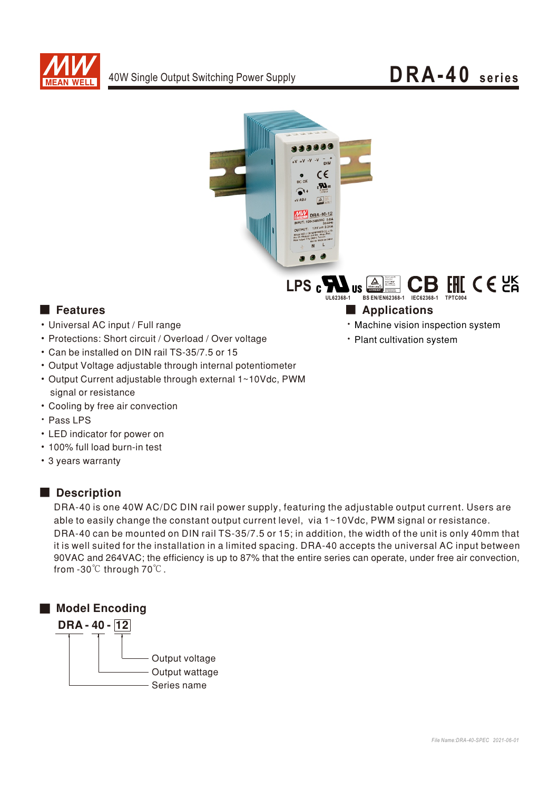

# DRA-40 series



LPS<sub>c</sub> FHIC  $\epsilon$  25 kicherheit<br>Regelmatige<br>Rostektiere<br>Kerkeichung BS EN/EN62368-1 IEC62368-1 **III 62368-1** 

### **E** Features

- Universal AC input / Full range
- Protections: Short circuit / Overload / Over voltage
- Can be installed on DIN rail TS-35/7.5 or 15
- Output Voltage adjustable through internal potentiometer
- Output Current adjustable through external 1~10Vdc, PWM signal or resistance
- Cooling by free air convection
- · Pass LPS
- LED indicator for power on
- . 100% full load burn-in test
- 3 years warranty

### Description

DRA-40 is one 40W AC/DC DIN rail power supply, featuring the adjustable output current. Users are able to easily change the constant output current level, via 1~10Vdc, PWM signal or resistance. DRA-40 can be mounted on DIN rail TS-35/7.5 or 15; in addition, the width of the unit is only 40mm that it is well suited for the installation in a limited spacing. DRA-40 accepts the universal AC input between 90VAC and 264VAC; the efficiency is up to 87% that the entire series can operate, under free air convection, from -30℃ through 70℃.



## **Applications**

- · Machine vision inspection system
- · Plant cultivation system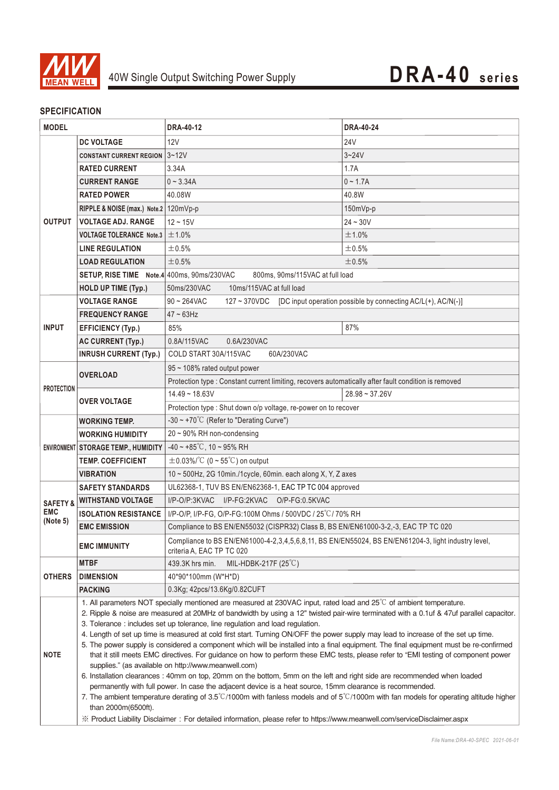

### **SPECIFICATION**

| <b>MODEL</b>                                  |                                                                                                                                                                                             | <b>DRA-40-12</b>                                                                                                                                                                                                                                                        | <b>DRA-40-24</b> |  |
|-----------------------------------------------|---------------------------------------------------------------------------------------------------------------------------------------------------------------------------------------------|-------------------------------------------------------------------------------------------------------------------------------------------------------------------------------------------------------------------------------------------------------------------------|------------------|--|
|                                               | <b>DC VOLTAGE</b>                                                                                                                                                                           | 12V                                                                                                                                                                                                                                                                     | <b>24V</b>       |  |
| <b>OUTPUT</b>                                 | <b>CONSTANT CURRENT REGION 3~12V</b>                                                                                                                                                        |                                                                                                                                                                                                                                                                         | $3 - 24V$        |  |
|                                               | <b>RATED CURRENT</b>                                                                                                                                                                        | 3.34A                                                                                                                                                                                                                                                                   | 1.7A             |  |
|                                               | <b>CURRENT RANGE</b>                                                                                                                                                                        | $0 - 3.34A$                                                                                                                                                                                                                                                             | $0 - 1.7A$       |  |
|                                               | <b>RATED POWER</b>                                                                                                                                                                          | 40.08W                                                                                                                                                                                                                                                                  | 40.8W            |  |
|                                               | RIPPLE & NOISE (max.) Note.2   120mVp-p                                                                                                                                                     |                                                                                                                                                                                                                                                                         | 150mVp-p         |  |
|                                               | <b>VOLTAGE ADJ. RANGE</b>                                                                                                                                                                   | $12 - 15V$                                                                                                                                                                                                                                                              | $24 - 30V$       |  |
|                                               | <b>VOLTAGE TOLERANCE Note.3</b>                                                                                                                                                             | ±1.0%                                                                                                                                                                                                                                                                   | ±1.0%            |  |
|                                               | <b>LINE REGULATION</b>                                                                                                                                                                      | ±0.5%                                                                                                                                                                                                                                                                   | $\pm 0.5\%$      |  |
|                                               | <b>LOAD REGULATION</b>                                                                                                                                                                      | ±0.5%                                                                                                                                                                                                                                                                   | ±0.5%            |  |
|                                               | SETUP, RISE TIME Note.4 400ms, 90ms/230VAC                                                                                                                                                  | 800ms, 90ms/115VAC at full load                                                                                                                                                                                                                                         |                  |  |
|                                               | <b>HOLD UP TIME (Typ.)</b>                                                                                                                                                                  | 50ms/230VAC<br>10ms/115VAC at full load                                                                                                                                                                                                                                 |                  |  |
|                                               | <b>VOLTAGE RANGE</b>                                                                                                                                                                        | [DC input operation possible by connecting AC/L(+), AC/N(-)]<br>$90 - 264$ VAC<br>127 ~ 370VDC                                                                                                                                                                          |                  |  |
| <b>INPUT</b>                                  | <b>FREQUENCY RANGE</b>                                                                                                                                                                      | $47 \sim 63$ Hz                                                                                                                                                                                                                                                         |                  |  |
|                                               | <b>EFFICIENCY (Typ.)</b>                                                                                                                                                                    | 85%                                                                                                                                                                                                                                                                     | 87%              |  |
|                                               | <b>AC CURRENT (Typ.)</b>                                                                                                                                                                    | 0.8A/115VAC<br>0.6A/230VAC                                                                                                                                                                                                                                              |                  |  |
|                                               | <b>INRUSH CURRENT (Typ.)</b>                                                                                                                                                                | COLD START 30A/115VAC<br>60A/230VAC                                                                                                                                                                                                                                     |                  |  |
| <b>PROTECTION</b>                             | <b>OVERLOAD</b>                                                                                                                                                                             | 95 ~ 108% rated output power                                                                                                                                                                                                                                            |                  |  |
|                                               |                                                                                                                                                                                             | Protection type : Constant current limiting, recovers automatically after fault condition is removed                                                                                                                                                                    |                  |  |
|                                               | <b>OVER VOLTAGE</b>                                                                                                                                                                         | $14.49 - 18.63V$                                                                                                                                                                                                                                                        | $28.98 - 37.26V$ |  |
|                                               |                                                                                                                                                                                             | Protection type : Shut down o/p voltage, re-power on to recover                                                                                                                                                                                                         |                  |  |
|                                               | <b>WORKING TEMP.</b>                                                                                                                                                                        | -30 ~ +70 $^{\circ}$ C (Refer to "Derating Curve")                                                                                                                                                                                                                      |                  |  |
|                                               | <b>WORKING HUMIDITY</b>                                                                                                                                                                     | $20 \sim 90\%$ RH non-condensing                                                                                                                                                                                                                                        |                  |  |
|                                               | ENVIRONMENT STORAGE TEMP., HUMIDITY                                                                                                                                                         | $-40 \sim +85^{\circ}$ C, 10 ~ 95% RH                                                                                                                                                                                                                                   |                  |  |
|                                               | <b>TEMP, COEFFICIENT</b>                                                                                                                                                                    | $\pm$ 0.03%/°C (0 ~ 55°C) on output                                                                                                                                                                                                                                     |                  |  |
|                                               | <b>VIBRATION</b>                                                                                                                                                                            | 10 ~ 500Hz, 2G 10min./1cycle, 60min. each along X, Y, Z axes                                                                                                                                                                                                            |                  |  |
| <b>SAFETY &amp;</b><br><b>EMC</b><br>(Note 5) | <b>SAFETY STANDARDS</b>                                                                                                                                                                     | UL62368-1, TUV BS EN/EN62368-1, EAC TP TC 004 approved                                                                                                                                                                                                                  |                  |  |
|                                               | <b>WITHSTAND VOLTAGE</b>                                                                                                                                                                    | I/P-O/P:3KVAC<br>I/P-FG:2KVAC O/P-FG:0.5KVAC                                                                                                                                                                                                                            |                  |  |
|                                               | <b>ISOLATION RESISTANCE</b>                                                                                                                                                                 | I/P-O/P, I/P-FG, O/P-FG:100M Ohms / 500VDC / 25°C/70% RH                                                                                                                                                                                                                |                  |  |
|                                               | <b>EMC EMISSION</b>                                                                                                                                                                         | Compliance to BS EN/EN55032 (CISPR32) Class B, BS EN/EN61000-3-2,-3, EAC TP TC 020                                                                                                                                                                                      |                  |  |
|                                               | <b>EMC IMMUNITY</b>                                                                                                                                                                         | Compliance to BS EN/EN61000-4-2,3,4,5,6,8,11, BS EN/EN55024, BS EN/EN61204-3, light industry level,<br>criteria A, EAC TP TC 020                                                                                                                                        |                  |  |
| <b>OTHERS</b>                                 | <b>MTBF</b>                                                                                                                                                                                 | 439.3K hrs min.<br>MIL-HDBK-217F $(25^{\circ}C)$                                                                                                                                                                                                                        |                  |  |
|                                               | <b>DIMENSION</b>                                                                                                                                                                            | 40*90*100mm (W*H*D)                                                                                                                                                                                                                                                     |                  |  |
|                                               | <b>PACKING</b>                                                                                                                                                                              | 0.3Kg; 42pcs/13.6Kg/0.82CUFT                                                                                                                                                                                                                                            |                  |  |
|                                               |                                                                                                                                                                                             | 1. All parameters NOT specially mentioned are measured at 230VAC input, rated load and $25^{\circ}$ of ambient temperature.<br>2. Ripple & noise are measured at 20MHz of bandwidth by using a 12" twisted pair-wire terminated with a 0.1uf & 47uf parallel capacitor. |                  |  |
| <b>NOTE</b>                                   |                                                                                                                                                                                             | 3. Tolerance : includes set up tolerance, line regulation and load regulation.                                                                                                                                                                                          |                  |  |
|                                               |                                                                                                                                                                                             | 4. Length of set up time is measured at cold first start. Turning ON/OFF the power supply may lead to increase of the set up time.                                                                                                                                      |                  |  |
|                                               | 5. The power supply is considered a component which will be installed into a final equipment. The final equipment must be re-confirmed                                                      |                                                                                                                                                                                                                                                                         |                  |  |
|                                               | that it still meets EMC directives. For guidance on how to perform these EMC tests, please refer to "EMI testing of component power<br>supplies." (as available on http://www.meanwell.com) |                                                                                                                                                                                                                                                                         |                  |  |
|                                               | 6. Installation clearances : 40mm on top, 20mm on the bottom, 5mm on the left and right side are recommended when loaded                                                                    |                                                                                                                                                                                                                                                                         |                  |  |
|                                               | permanently with full power. In case the adjacent device is a heat source, 15mm clearance is recommended.                                                                                   |                                                                                                                                                                                                                                                                         |                  |  |
|                                               | than 2000m(6500ft).                                                                                                                                                                         | 7. The ambient temperature derating of $3.5^{\circ}$ C/1000m with fanless models and of $5^{\circ}$ C/1000m with fan models for operating altitude higher                                                                                                               |                  |  |
|                                               | X Product Liability Disclaimer: For detailed information, please refer to https://www.meanwell.com/serviceDisclaimer.aspx                                                                   |                                                                                                                                                                                                                                                                         |                  |  |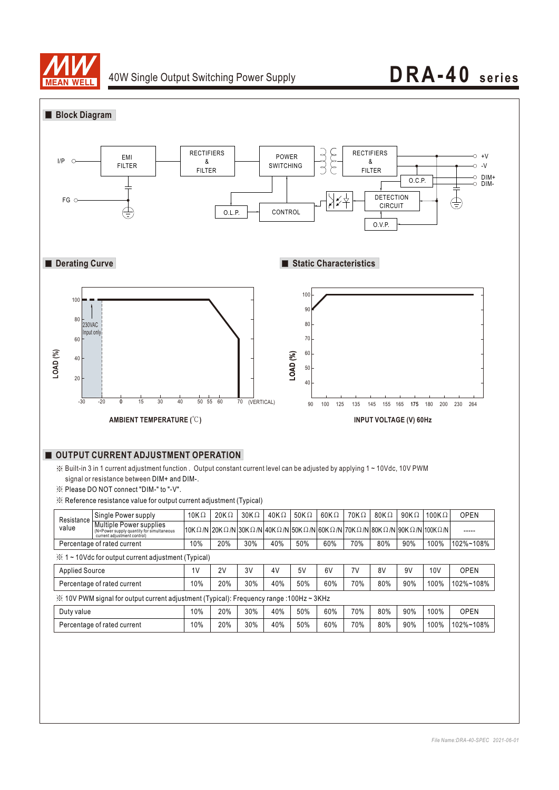

## 40W Single Output Switching Power Supply **DRA-40 series**

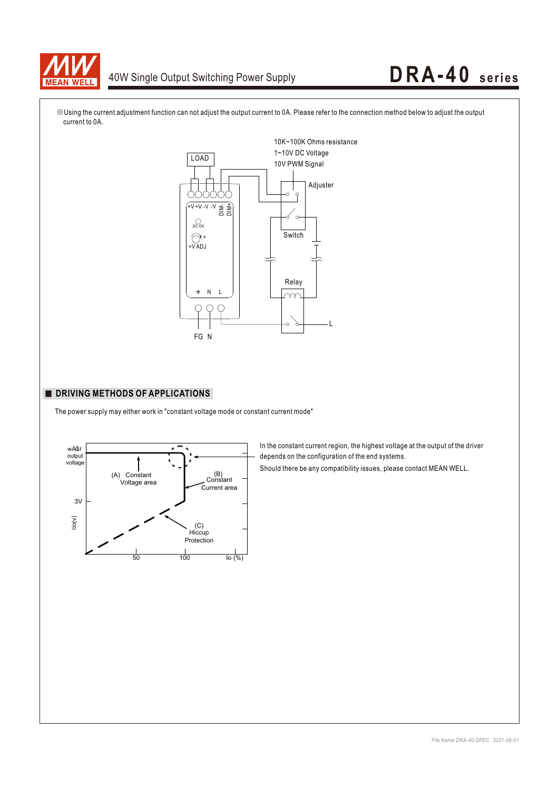

# 40W Single Output Switching Power Supply **DRA-40** series



※Using the current adjustment function can not adjust the output current to 0A. Please refer to the connection method below to adjust the output current to 0A.

### **DRIVING METHODS OF APPLICATIONS**

The power supply may either work in "constant voltage mode or constant current mode"



In the constant current region, the highest voltage at the output of the driver depends on the configuration of the end systems.

Should there be any compatibility issues, please contact MEAN WELL.